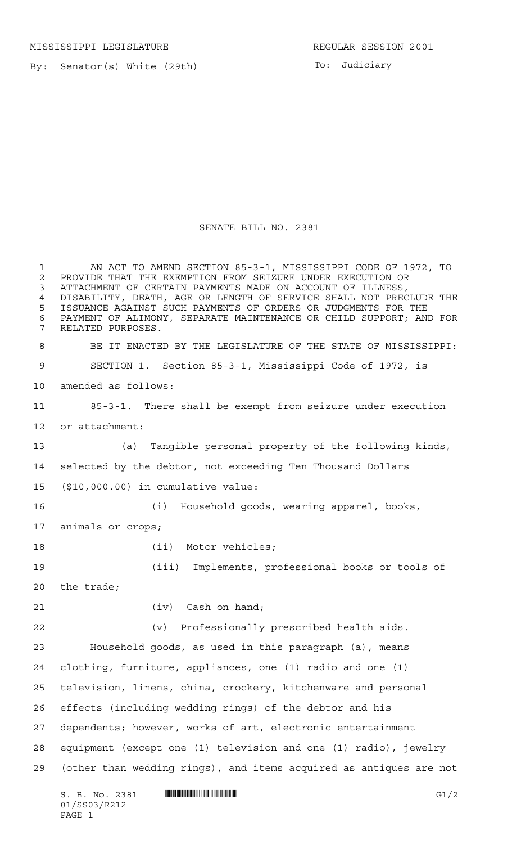MISSISSIPPI LEGISLATURE **REGULAR SESSION 2001** 

By: Senator(s) White (29th)

To: Judiciary

## SENATE BILL NO. 2381

 AN ACT TO AMEND SECTION 85-3-1, MISSISSIPPI CODE OF 1972, TO 2 PROVIDE THAT THE EXEMPTION FROM SEIZURE UNDER EXECUTION OR<br>3 ATTACHMENT OF CERTAIN PAYMENTS MADE ON ACCOUNT OF ILLNESS, ATTACHMENT OF CERTAIN PAYMENTS MADE ON ACCOUNT OF ILLNESS, DISABILITY, DEATH, AGE OR LENGTH OF SERVICE SHALL NOT PRECLUDE THE ISSUANCE AGAINST SUCH PAYMENTS OF ORDERS OR JUDGMENTS FOR THE PAYMENT OF ALIMONY, SEPARATE MAINTENANCE OR CHILD SUPPORT; AND FOR RELATED PURPOSES. BE IT ENACTED BY THE LEGISLATURE OF THE STATE OF MISSISSIPPI: SECTION 1. Section 85-3-1, Mississippi Code of 1972, is amended as follows: 85-3-1. There shall be exempt from seizure under execution or attachment: (a) Tangible personal property of the following kinds, selected by the debtor, not exceeding Ten Thousand Dollars (\$10,000.00) in cumulative value: (i) Household goods, wearing apparel, books, animals or crops; 18 (ii) Motor vehicles; (iii) Implements, professional books or tools of the trade; 21 (iv) Cash on hand; (v) Professionally prescribed health aids. Household goods, as used in this paragraph (a), means clothing, furniture, appliances, one (1) radio and one (1) television, linens, china, crockery, kitchenware and personal effects (including wedding rings) of the debtor and his dependents; however, works of art, electronic entertainment equipment (except one (1) television and one (1) radio), jewelry (other than wedding rings), and items acquired as antiques are not

 $S. B. No. 2381$  **INNIFICALLY INSERIAL INSTEAD OF A SET OF A SET OF A SET OF A SET OF A SET OF A SET OF A SET OF A SET OF A SET OF A SET OF A SET OF A SET OF A SET OF A SET OF A SET OF A SET OF A SET OF A SET OF A SET OF A** 01/SS03/R212 PAGE 1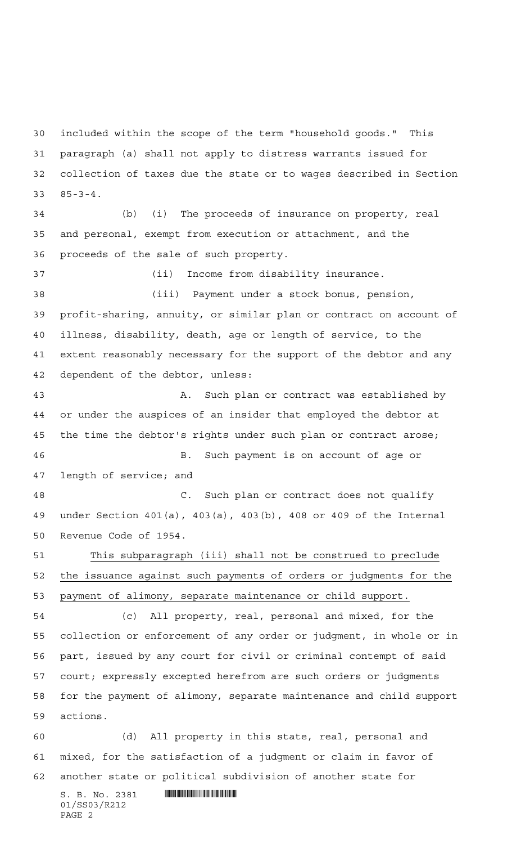included within the scope of the term "household goods." This paragraph (a) shall not apply to distress warrants issued for collection of taxes due the state or to wages described in Section 85-3-4.

 (b) (i) The proceeds of insurance on property, real and personal, exempt from execution or attachment, and the proceeds of the sale of such property.

 (ii) Income from disability insurance. (iii) Payment under a stock bonus, pension, profit-sharing, annuity, or similar plan or contract on account of illness, disability, death, age or length of service, to the extent reasonably necessary for the support of the debtor and any dependent of the debtor, unless: A. Such plan or contract was established by

 or under the auspices of an insider that employed the debtor at the time the debtor's rights under such plan or contract arose; B. Such payment is on account of age or length of service; and

 C. Such plan or contract does not qualify under Section 401(a), 403(a), 403(b), 408 or 409 of the Internal Revenue Code of 1954.

 This subparagraph (iii) shall not be construed to preclude the issuance against such payments of orders or judgments for the payment of alimony, separate maintenance or child support.

 (c) All property, real, personal and mixed, for the collection or enforcement of any order or judgment, in whole or in part, issued by any court for civil or criminal contempt of said court; expressly excepted herefrom are such orders or judgments for the payment of alimony, separate maintenance and child support actions.

 (d) All property in this state, real, personal and mixed, for the satisfaction of a judgment or claim in favor of another state or political subdivision of another state for

 $S. B. No. 2381$  . The set of  $S. B. N_O. 2381$ 01/SS03/R212 PAGE 2